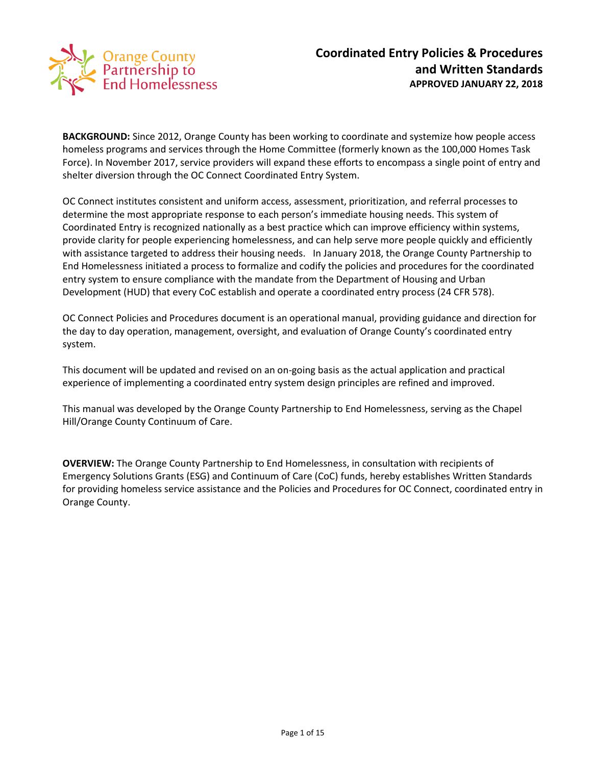

**BACKGROUND:** Since 2012, Orange County has been working to coordinate and systemize how people access homeless programs and services through the Home Committee (formerly known as the 100,000 Homes Task Force). In November 2017, service providers will expand these efforts to encompass a single point of entry and shelter diversion through the OC Connect Coordinated Entry System.

OC Connect institutes consistent and uniform access, assessment, prioritization, and referral processes to determine the most appropriate response to each person's immediate housing needs. This system of Coordinated Entry is recognized nationally as a best practice which can improve efficiency within systems, provide clarity for people experiencing homelessness, and can help serve more people quickly and efficiently with assistance targeted to address their housing needs. In January 2018, the Orange County Partnership to End Homelessness initiated a process to formalize and codify the policies and procedures for the coordinated entry system to ensure compliance with the mandate from the Department of Housing and Urban Development (HUD) that every CoC establish and operate a coordinated entry process (24 CFR 578).

OC Connect Policies and Procedures document is an operational manual, providing guidance and direction for the day to day operation, management, oversight, and evaluation of Orange County's coordinated entry system.

This document will be updated and revised on an on-going basis as the actual application and practical experience of implementing a coordinated entry system design principles are refined and improved.

This manual was developed by the Orange County Partnership to End Homelessness, serving as the Chapel Hill/Orange County Continuum of Care.

**OVERVIEW:** The Orange County Partnership to End Homelessness, in consultation with recipients of Emergency Solutions Grants (ESG) and Continuum of Care (CoC) funds, hereby establishes Written Standards for providing homeless service assistance and the Policies and Procedures for OC Connect, coordinated entry in Orange County.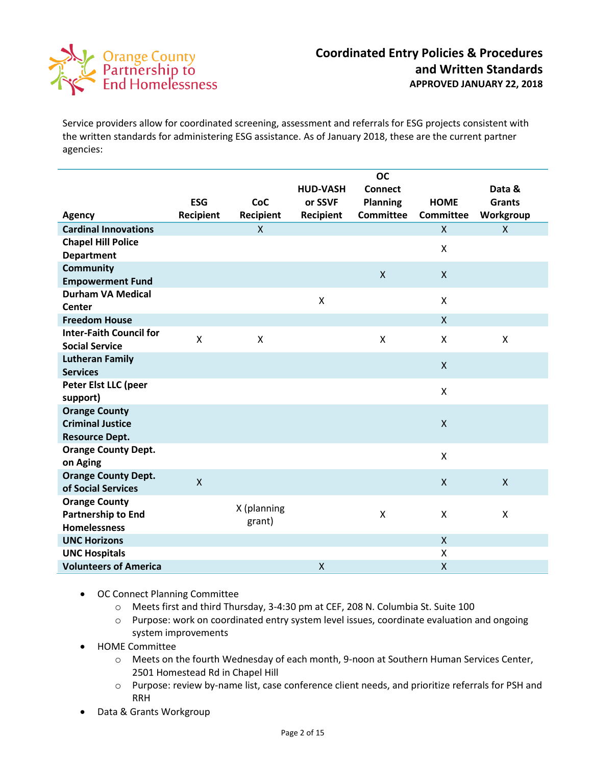

Service providers allow for coordinated screening, assessment and referrals for ESG projects consistent with the written standards for administering ESG assistance. As of January 2018, these are the current partner agencies:

|                                |              |              |                    | <b>OC</b>        |                  |               |
|--------------------------------|--------------|--------------|--------------------|------------------|------------------|---------------|
|                                |              |              | <b>HUD-VASH</b>    | <b>Connect</b>   |                  | Data &        |
|                                | <b>ESG</b>   | CoC          | or SSVF            | <b>Planning</b>  | <b>HOME</b>      | <b>Grants</b> |
| <b>Agency</b>                  | Recipient    | Recipient    | Recipient          | <b>Committee</b> | <b>Committee</b> | Workgroup     |
| <b>Cardinal Innovations</b>    |              | $\mathsf{X}$ |                    |                  | $\mathsf{X}$     | $\mathsf{X}$  |
| <b>Chapel Hill Police</b>      |              |              |                    |                  | X                |               |
| <b>Department</b>              |              |              |                    |                  |                  |               |
| <b>Community</b>               |              |              |                    | $\mathsf{X}$     | $\mathsf{X}$     |               |
| <b>Empowerment Fund</b>        |              |              |                    |                  |                  |               |
| <b>Durham VA Medical</b>       |              |              | $\pmb{\mathsf{X}}$ |                  | X                |               |
| <b>Center</b>                  |              |              |                    |                  |                  |               |
| <b>Freedom House</b>           |              |              |                    |                  | X                |               |
| <b>Inter-Faith Council for</b> | X            | X            |                    | X                | X                | X             |
| <b>Social Service</b>          |              |              |                    |                  |                  |               |
| <b>Lutheran Family</b>         |              |              |                    |                  | X                |               |
| <b>Services</b>                |              |              |                    |                  |                  |               |
| Peter Elst LLC (peer           |              |              |                    |                  | $\mathsf{x}$     |               |
| support)                       |              |              |                    |                  |                  |               |
| <b>Orange County</b>           |              |              |                    |                  |                  |               |
| <b>Criminal Justice</b>        |              |              |                    |                  | $\mathsf{x}$     |               |
| <b>Resource Dept.</b>          |              |              |                    |                  |                  |               |
| <b>Orange County Dept.</b>     |              |              |                    |                  | $\mathsf{x}$     |               |
| on Aging                       |              |              |                    |                  |                  |               |
| <b>Orange County Dept.</b>     | $\mathsf{X}$ |              |                    |                  | $\mathsf{x}$     | $\mathsf{x}$  |
| of Social Services             |              |              |                    |                  |                  |               |
| <b>Orange County</b>           |              | X (planning  |                    |                  |                  |               |
| <b>Partnership to End</b>      |              | grant)       |                    | $\mathsf{\chi}$  | X                | X             |
| <b>Homelessness</b>            |              |              |                    |                  |                  |               |
| <b>UNC Horizons</b>            |              |              |                    |                  | $\mathsf{X}$     |               |
| <b>UNC Hospitals</b>           |              |              |                    |                  | X                |               |
| <b>Volunteers of America</b>   |              |              | X                  |                  | $\mathsf{X}$     |               |

- OC Connect Planning Committee
	- o Meets first and third Thursday, 3-4:30 pm at CEF, 208 N. Columbia St. Suite 100
	- o Purpose: work on coordinated entry system level issues, coordinate evaluation and ongoing system improvements
- HOME Committee
	- o Meets on the fourth Wednesday of each month, 9-noon at Southern Human Services Center, 2501 Homestead Rd in Chapel Hill
	- o Purpose: review by-name list, case conference client needs, and prioritize referrals for PSH and RRH
- Data & Grants Workgroup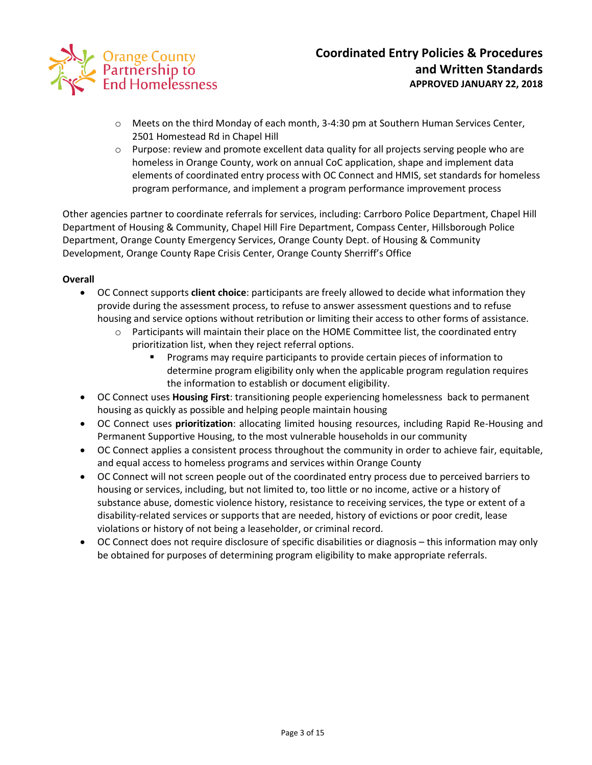

- o Meets on the third Monday of each month, 3-4:30 pm at Southern Human Services Center, 2501 Homestead Rd in Chapel Hill
- $\circ$  Purpose: review and promote excellent data quality for all projects serving people who are homeless in Orange County, work on annual CoC application, shape and implement data elements of coordinated entry process with OC Connect and HMIS, set standards for homeless program performance, and implement a program performance improvement process

Other agencies partner to coordinate referrals for services, including: Carrboro Police Department, Chapel Hill Department of Housing & Community, Chapel Hill Fire Department, Compass Center, Hillsborough Police Department, Orange County Emergency Services, Orange County Dept. of Housing & Community Development, Orange County Rape Crisis Center, Orange County Sherriff's Office

## **Overall**

- OC Connect supports **client choice**: participants are freely allowed to decide what information they provide during the assessment process, to refuse to answer assessment questions and to refuse housing and service options without retribution or limiting their access to other forms of assistance.
	- $\circ$  Participants will maintain their place on the HOME Committee list, the coordinated entry prioritization list, when they reject referral options.
		- Programs may require participants to provide certain pieces of information to determine program eligibility only when the applicable program regulation requires the information to establish or document eligibility.
- OC Connect uses **Housing First**: transitioning people experiencing homelessness back to permanent housing as quickly as possible and helping people maintain housing
- OC Connect uses **prioritization**: allocating limited housing resources, including Rapid Re-Housing and Permanent Supportive Housing, to the most vulnerable households in our community
- OC Connect applies a consistent process throughout the community in order to achieve fair, equitable, and equal access to homeless programs and services within Orange County
- OC Connect will not screen people out of the coordinated entry process due to perceived barriers to housing or services, including, but not limited to, too little or no income, active or a history of substance abuse, domestic violence history, resistance to receiving services, the type or extent of a disability-related services or supports that are needed, history of evictions or poor credit, lease violations or history of not being a leaseholder, or criminal record.
- OC Connect does not require disclosure of specific disabilities or diagnosis this information may only be obtained for purposes of determining program eligibility to make appropriate referrals.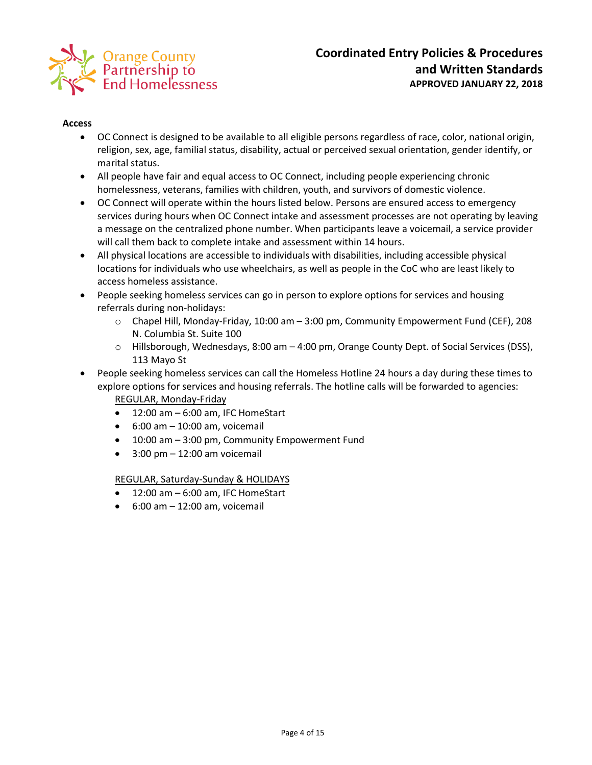

#### **Access**

- OC Connect is designed to be available to all eligible persons regardless of race, color, national origin, religion, sex, age, familial status, disability, actual or perceived sexual orientation, gender identify, or marital status.
- All people have fair and equal access to OC Connect, including people experiencing chronic homelessness, veterans, families with children, youth, and survivors of domestic violence.
- OC Connect will operate within the hours listed below. Persons are ensured access to emergency services during hours when OC Connect intake and assessment processes are not operating by leaving a message on the centralized phone number. When participants leave a voicemail, a service provider will call them back to complete intake and assessment within 14 hours.
- All physical locations are accessible to individuals with disabilities, including accessible physical locations for individuals who use wheelchairs, as well as people in the CoC who are least likely to access homeless assistance.
- People seeking homeless services can go in person to explore options for services and housing referrals during non-holidays:
	- o Chapel Hill, Monday-Friday, 10:00 am 3:00 pm, Community Empowerment Fund (CEF), 208 N. Columbia St. Suite 100
	- $\circ$  Hillsborough, Wednesdays, 8:00 am  $-$  4:00 pm, Orange County Dept. of Social Services (DSS), 113 Mayo St
- People seeking homeless services can call the Homeless Hotline 24 hours a day during these times to explore options for services and housing referrals. The hotline calls will be forwarded to agencies: REGULAR, Monday-Friday
	- $-12:00$  am  $-6:00$  am, IFC HomeStart
	- $6:00$  am  $-10:00$  am, voicemail
	- 10:00 am 3:00 pm, Community Empowerment Fund
	- 3:00 pm 12:00 am voicemail

REGULAR, Saturday-Sunday & HOLIDAYS

- 12:00 am 6:00 am, IFC HomeStart
- $6:00$  am  $-12:00$  am, voicemail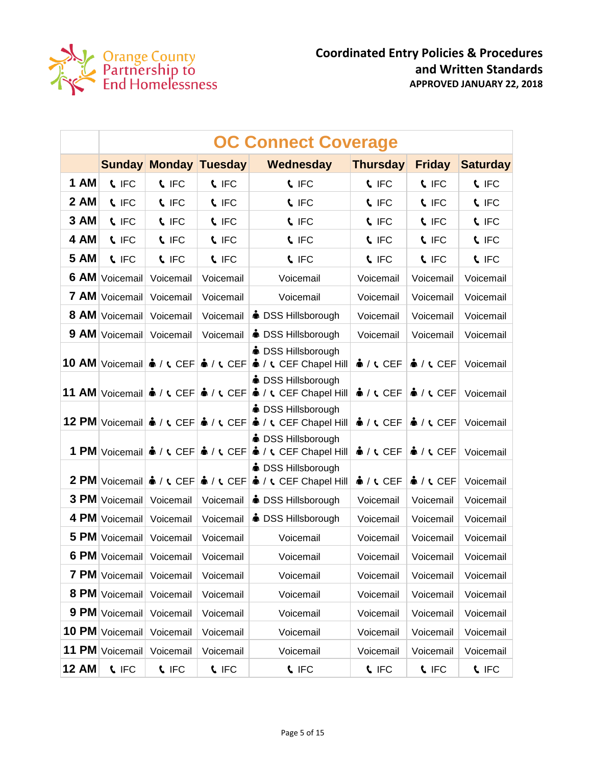

|              | <b>OC Connect Coverage</b> |                                           |                                                                                    |                                                                                                                                         |                             |                             |                 |  |
|--------------|----------------------------|-------------------------------------------|------------------------------------------------------------------------------------|-----------------------------------------------------------------------------------------------------------------------------------------|-----------------------------|-----------------------------|-----------------|--|
|              |                            | <b>Sunday Monday</b>                      | Tuesday                                                                            | Wednesday                                                                                                                               | <b>Thursday</b>             | <b>Friday</b>               | <b>Saturday</b> |  |
| <b>1 AM</b>  | <b>C</b> IFC               | <b>L</b> IFC                              | <b>L</b> IFC                                                                       | <b>L</b> IFC                                                                                                                            | <b>L</b> IFC                | <b>C</b> IFC                | <b>C</b> IFC    |  |
| <b>2 AM</b>  | <b>L</b> IFC               | <b>C</b> IFC                              | <b>L</b> IFC                                                                       | <b>L</b> IFC                                                                                                                            | <b>L</b> IFC                | <b>C</b> IFC                | <b>C</b> IFC    |  |
| 3 AM         | <b>L</b> IFC               | <b>C</b> IFC                              | <b>C</b> IFC                                                                       | <b>C</b> IFC                                                                                                                            | <b>C</b> IFC                | <b>C</b> IFC                | <b>C</b> IFC    |  |
| 4 AM         | <b>L</b> IFC               | <b>C</b> IFC                              | <b>C</b> IFC                                                                       | <b>C</b> IFC                                                                                                                            | <b>C</b> IFC                | <b>C</b> IFC                | <b>C</b> IFC    |  |
| <b>5 AM</b>  | <b>L</b> IFC               | <b>C</b> IFC                              | <b>L</b> IFC                                                                       | <b>C</b> IFC                                                                                                                            | <b>C</b> IFC                | <b>C</b> IFC                | <b>C</b> IFC    |  |
|              | 6 AM Voicemail             | Voicemail                                 | Voicemail                                                                          | Voicemail                                                                                                                               | Voicemail                   | Voicemail                   | Voicemail       |  |
| <b>7 AM</b>  | Voicemail                  | Voicemail                                 | Voicemail                                                                          | Voicemail                                                                                                                               | Voicemail                   | Voicemail                   | Voicemail       |  |
|              | 8 AM Voicemail             | Voicemail                                 | Voicemail                                                                          | <b>● DSS Hillsborough</b>                                                                                                               | Voicemail                   | Voicemail                   | Voicemail       |  |
|              | 9 AM Voicemail             | Voicemail                                 | Voicemail                                                                          | • DSS Hillsborough                                                                                                                      | Voicemail                   | Voicemail                   | Voicemail       |  |
|              |                            | 10 AM Voicemail $\phi / \mathfrak{c}$ CEF | $\frac{1}{2}$ / $\sqrt{CEF}$                                                       | <b>in</b> DSS Hillsborough<br>$\triangle$ / $\zeta$ CEF Chapel Hill                                                                     | $\frac{1}{2}$ / $\zeta$ CEF | $\frac{1}{2}$ / $\zeta$ CEF | Voicemail       |  |
|              |                            |                                           |                                                                                    | <b>in</b> DSS Hillsborough<br>11 AM Voicemail $\cdot$ / $\cdot$ CEF $\cdot \cdot$ / $\cdot$ CEF $\cdot \cdot$ / $\cdot$ CEF Chapel Hill | $\bullet$ / $\circ$ CEF     | $\frac{1}{2}$ / $\zeta$ CEF | Voicemail       |  |
|              |                            |                                           | 12 PM Voicemail & / t CEF & / t CEF                                                | <b>in</b> DSS Hillsborough<br>$\triangle$ / $\zeta$ CEF Chapel Hill                                                                     | $\frac{1}{2}$ / $\zeta$ CEF | $\frac{1}{2}$ / $\zeta$ CEF | Voicemail       |  |
|              |                            |                                           | 1 PM Voicemail $\mathbf{\hat{a}}$ / <b>t</b> CEF $\mathbf{\hat{a}}$ / <b>t</b> CEF | <b>● DSS Hillsborough</b><br><b>A</b> / <b>t</b> CEF Chapel Hill                                                                        | $\frac{1}{2}$ / $\zeta$ CEF | $\frac{1}{2}$ / $\zeta$ CEF | Voicemail       |  |
|              |                            |                                           | 2 PM Voicemail $\hat{\bullet}$ / $\zeta$ CEF $\hat{\bullet}$ / $\zeta$ CEF         | <b>● DSS Hillsborough</b><br>$\triangle$ / $\zeta$ CEF Chapel Hill                                                                      | $\frac{1}{2}$ / $\zeta$ CEF | $\frac{1}{2}$ / $\zeta$ CEF | Voicemail       |  |
|              | 3 PM Voicemail             | Voicemail                                 | Voicemail                                                                          | <b>in</b> DSS Hillsborough                                                                                                              | Voicemail                   | Voicemail                   | Voicemail       |  |
| 4 PM         | Voicemail                  | Voicemail                                 | Voicemail                                                                          | • DSS Hillsborough                                                                                                                      | Voicemail                   | Voicemail                   | Voicemail       |  |
| 5 PM         | Voicemail                  | Voicemail                                 | Voicemail                                                                          | Voicemail                                                                                                                               | Voicemail                   | Voicemail                   | Voicemail       |  |
|              | 6 PM Voicemail Voicemail   |                                           | Voicemail                                                                          | Voicemail                                                                                                                               | Voicemail                   | Voicemail                   | Voicemail       |  |
|              | 7 PM Voicemail             | Voicemail                                 | Voicemail                                                                          | Voicemail                                                                                                                               | Voicemail                   | Voicemail                   | Voicemail       |  |
|              | 8 PM Voicemail             | Voicemail                                 | Voicemail                                                                          | Voicemail                                                                                                                               | Voicemail                   | Voicemail                   | Voicemail       |  |
|              | 9 PM Voicemail             | Voicemail                                 | Voicemail                                                                          | Voicemail                                                                                                                               | Voicemail                   | Voicemail                   | Voicemail       |  |
|              | 10 PM Voicemail            | Voicemail                                 | Voicemail                                                                          | Voicemail                                                                                                                               | Voicemail                   | Voicemail                   | Voicemail       |  |
|              | 11 PM Voicemail            | Voicemail                                 | Voicemail                                                                          | Voicemail                                                                                                                               | Voicemail                   | Voicemail                   | Voicemail       |  |
| <b>12 AM</b> | <b>C</b> IFC               | <b>C</b> IFC                              | <b>L</b> IFC                                                                       | <b>C</b> IFC                                                                                                                            | <b>C</b> IFC                | <b>C</b> IFC                | <b>C</b> IFC    |  |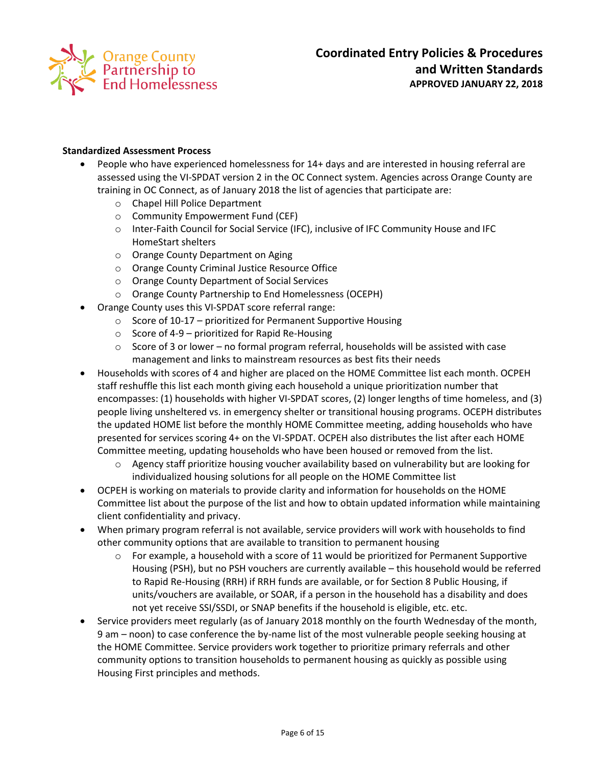

## **Standardized Assessment Process**

- People who have experienced homelessness for 14+ days and are interested in housing referral are assessed using the VI-SPDAT version 2 in the OC Connect system. Agencies across Orange County are training in OC Connect, as of January 2018 the list of agencies that participate are:
	- o Chapel Hill Police Department
	- o Community Empowerment Fund (CEF)
	- o Inter-Faith Council for Social Service (IFC), inclusive of IFC Community House and IFC HomeStart shelters
	- o Orange County Department on Aging
	- o Orange County Criminal Justice Resource Office
	- o Orange County Department of Social Services
	- o Orange County Partnership to End Homelessness (OCEPH)
- Orange County uses this VI-SPDAT score referral range:
	- $\circ$  Score of 10-17 prioritized for Permanent Supportive Housing
	- $\circ$  Score of 4-9 prioritized for Rapid Re-Housing
	- $\circ$  Score of 3 or lower no formal program referral, households will be assisted with case management and links to mainstream resources as best fits their needs
- Households with scores of 4 and higher are placed on the HOME Committee list each month. OCPEH staff reshuffle this list each month giving each household a unique prioritization number that encompasses: (1) households with higher VI-SPDAT scores, (2) longer lengths of time homeless, and (3) people living unsheltered vs. in emergency shelter or transitional housing programs. OCEPH distributes the updated HOME list before the monthly HOME Committee meeting, adding households who have presented for services scoring 4+ on the VI-SPDAT. OCPEH also distributes the list after each HOME Committee meeting, updating households who have been housed or removed from the list.
	- $\circ$  Agency staff prioritize housing voucher availability based on vulnerability but are looking for individualized housing solutions for all people on the HOME Committee list
- OCPEH is working on materials to provide clarity and information for households on the HOME Committee list about the purpose of the list and how to obtain updated information while maintaining client confidentiality and privacy.
- When primary program referral is not available, service providers will work with households to find other community options that are available to transition to permanent housing
	- $\circ$  For example, a household with a score of 11 would be prioritized for Permanent Supportive Housing (PSH), but no PSH vouchers are currently available – this household would be referred to Rapid Re-Housing (RRH) if RRH funds are available, or for Section 8 Public Housing, if units/vouchers are available, or SOAR, if a person in the household has a disability and does not yet receive SSI/SSDI, or SNAP benefits if the household is eligible, etc. etc.
- Service providers meet regularly (as of January 2018 monthly on the fourth Wednesday of the month, 9 am – noon) to case conference the by-name list of the most vulnerable people seeking housing at the HOME Committee. Service providers work together to prioritize primary referrals and other community options to transition households to permanent housing as quickly as possible using Housing First principles and methods.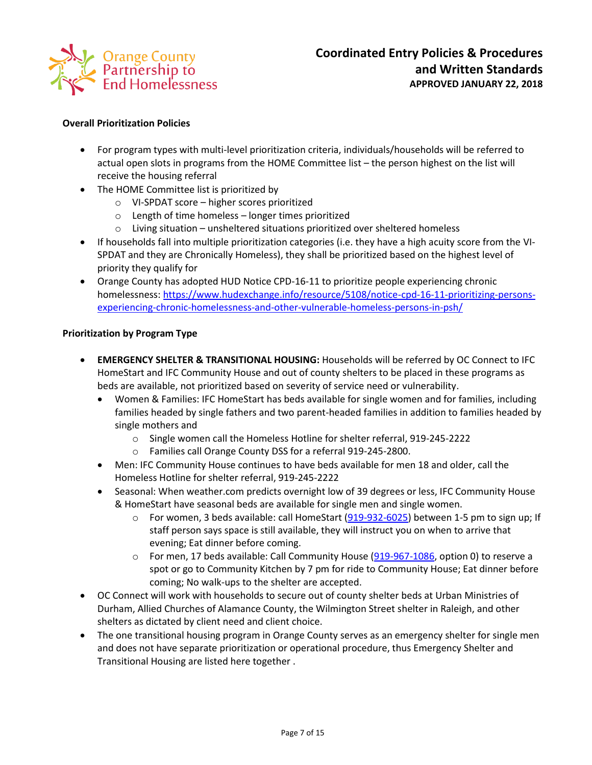

# **Overall Prioritization Policies**

- For program types with multi-level prioritization criteria, individuals/households will be referred to actual open slots in programs from the HOME Committee list – the person highest on the list will receive the housing referral
- The HOME Committee list is prioritized by
	- o VI-SPDAT score higher scores prioritized
	- o Length of time homeless longer times prioritized
	- o Living situation unsheltered situations prioritized over sheltered homeless
- If households fall into multiple prioritization categories (i.e. they have a high acuity score from the VI-SPDAT and they are Chronically Homeless), they shall be prioritized based on the highest level of priority they qualify for
- Orange County has adopted HUD Notice CPD-16-11 to prioritize people experiencing chronic homelessness[: https://www.hudexchange.info/resource/5108/notice-cpd-16-11-prioritizing-persons](https://www.hudexchange.info/resource/5108/notice-cpd-16-11-prioritizing-persons-experiencing-chronic-homelessness-and-other-vulnerable-homeless-persons-in-psh/)[experiencing-chronic-homelessness-and-other-vulnerable-homeless-persons-in-psh/](https://www.hudexchange.info/resource/5108/notice-cpd-16-11-prioritizing-persons-experiencing-chronic-homelessness-and-other-vulnerable-homeless-persons-in-psh/)

## **Prioritization by Program Type**

- **EMERGENCY SHELTER & TRANSITIONAL HOUSING:** Households will be referred by OC Connect to IFC HomeStart and IFC Community House and out of county shelters to be placed in these programs as beds are available, not prioritized based on severity of service need or vulnerability.
	- Women & Families: IFC HomeStart has beds available for single women and for families, including families headed by single fathers and two parent-headed families in addition to families headed by single mothers and
		- o Single women call the Homeless Hotline for shelter referral, 919-245-2222
		- o Families call Orange County DSS for a referral 919-245-2800.
	- Men: IFC Community House continues to have beds available for men 18 and older, call the Homeless Hotline for shelter referral, 919-245-2222
	- Seasonal: When weather.com predicts overnight low of 39 degrees or less, IFC Community House & HomeStart have seasonal beds are available for single men and single women.
		- $\circ$  For women, 3 beds available: call HomeStart [\(919-932-6025\)](javascript:void(0)) between 1-5 pm to sign up; If staff person says space is still available, they will instruct you on when to arrive that evening; Eat dinner before coming.
		- o For men, 17 beds available: Call Community House [\(919-967-1086,](javascript:void(0)) option 0) to reserve a spot or go to Community Kitchen by 7 pm for ride to Community House; Eat dinner before coming; No walk-ups to the shelter are accepted.
- OC Connect will work with households to secure out of county shelter beds at Urban Ministries of Durham, Allied Churches of Alamance County, the Wilmington Street shelter in Raleigh, and other shelters as dictated by client need and client choice.
- The one transitional housing program in Orange County serves as an emergency shelter for single men and does not have separate prioritization or operational procedure, thus Emergency Shelter and Transitional Housing are listed here together .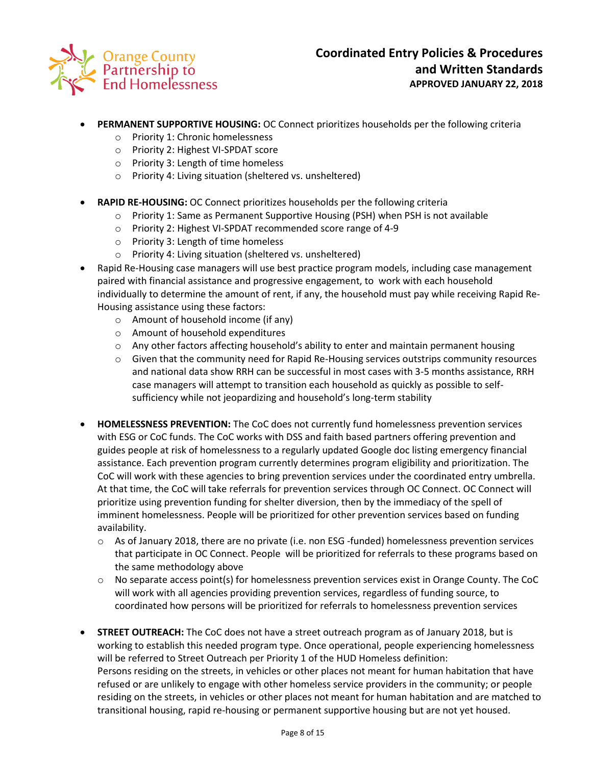

- **PERMANENT SUPPORTIVE HOUSING:** OC Connect prioritizes households per the following criteria
	- o Priority 1: Chronic homelessness
	- o Priority 2: Highest VI-SPDAT score
	- o Priority 3: Length of time homeless
	- o Priority 4: Living situation (sheltered vs. unsheltered)
- **RAPID RE-HOUSING:** OC Connect prioritizes households per the following criteria
	- o Priority 1: Same as Permanent Supportive Housing (PSH) when PSH is not available
	- o Priority 2: Highest VI-SPDAT recommended score range of 4-9
	- o Priority 3: Length of time homeless
	- o Priority 4: Living situation (sheltered vs. unsheltered)
- Rapid Re-Housing case managers will use best practice program models, including case management paired with financial assistance and progressive engagement, to work with each household individually to determine the amount of rent, if any, the household must pay while receiving Rapid Re-Housing assistance using these factors:
	- o Amount of household income (if any)
	- o Amount of household expenditures
	- o Any other factors affecting household's ability to enter and maintain permanent housing
	- $\circ$  Given that the community need for Rapid Re-Housing services outstrips community resources and national data show RRH can be successful in most cases with 3-5 months assistance, RRH case managers will attempt to transition each household as quickly as possible to selfsufficiency while not jeopardizing and household's long-term stability
- **HOMELESSNESS PREVENTION:** The CoC does not currently fund homelessness prevention services with ESG or CoC funds. The CoC works with DSS and faith based partners offering prevention and guides people at risk of homelessness to a regularly updated Google doc listing emergency financial assistance. Each prevention program currently determines program eligibility and prioritization. The CoC will work with these agencies to bring prevention services under the coordinated entry umbrella. At that time, the CoC will take referrals for prevention services through OC Connect. OC Connect will prioritize using prevention funding for shelter diversion, then by the immediacy of the spell of imminent homelessness. People will be prioritized for other prevention services based on funding availability.
	- $\circ$  As of January 2018, there are no private (i.e. non ESG -funded) homelessness prevention services that participate in OC Connect. People will be prioritized for referrals to these programs based on the same methodology above
	- $\circ$  No separate access point(s) for homelessness prevention services exist in Orange County. The CoC will work with all agencies providing prevention services, regardless of funding source, to coordinated how persons will be prioritized for referrals to homelessness prevention services
- **STREET OUTREACH:** The CoC does not have a street outreach program as of January 2018, but is working to establish this needed program type. Once operational, people experiencing homelessness will be referred to Street Outreach per Priority 1 of the HUD Homeless definition: Persons residing on the streets, in vehicles or other places not meant for human habitation that have refused or are unlikely to engage with other homeless service providers in the community; or people residing on the streets, in vehicles or other places not meant for human habitation and are matched to transitional housing, rapid re-housing or permanent supportive housing but are not yet housed.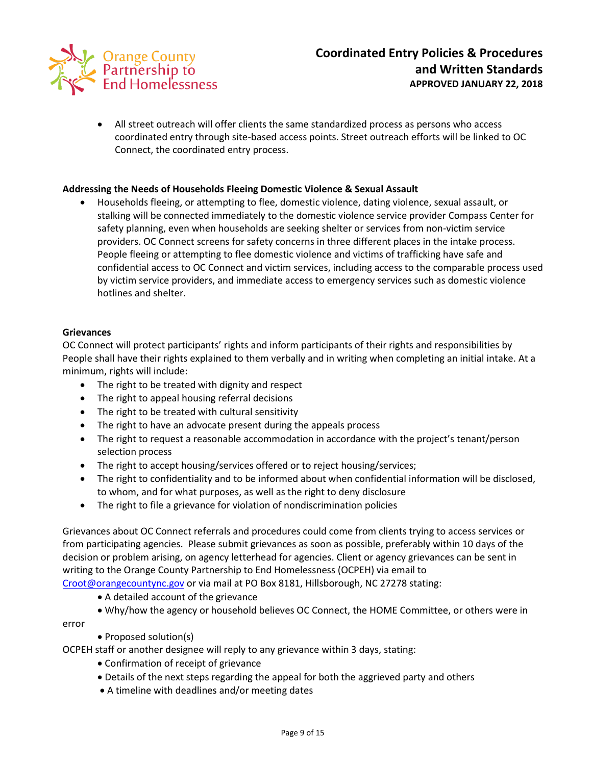

 All street outreach will offer clients the same standardized process as persons who access coordinated entry through site-based access points. Street outreach efforts will be linked to OC Connect, the coordinated entry process.

## **Addressing the Needs of Households Fleeing Domestic Violence & Sexual Assault**

 Households fleeing, or attempting to flee, domestic violence, dating violence, sexual assault, or stalking will be connected immediately to the domestic violence service provider Compass Center for safety planning, even when households are seeking shelter or services from non-victim service providers. OC Connect screens for safety concerns in three different places in the intake process. People fleeing or attempting to flee domestic violence and victims of trafficking have safe and confidential access to OC Connect and victim services, including access to the comparable process used by victim service providers, and immediate access to emergency services such as domestic violence hotlines and shelter.

#### **Grievances**

OC Connect will protect participants' rights and inform participants of their rights and responsibilities by People shall have their rights explained to them verbally and in writing when completing an initial intake. At a minimum, rights will include:

- The right to be treated with dignity and respect
- The right to appeal housing referral decisions
- The right to be treated with cultural sensitivity
- The right to have an advocate present during the appeals process
- The right to request a reasonable accommodation in accordance with the project's tenant/person selection process
- The right to accept housing/services offered or to reject housing/services;
- The right to confidentiality and to be informed about when confidential information will be disclosed, to whom, and for what purposes, as well as the right to deny disclosure
- The right to file a grievance for violation of nondiscrimination policies

Grievances about OC Connect referrals and procedures could come from clients trying to access services or from participating agencies. Please submit grievances as soon as possible, preferably within 10 days of the decision or problem arising, on agency letterhead for agencies. Client or agency grievances can be sent in writing to the Orange County Partnership to End Homelessness (OCPEH) via email to

[Croot@orangecountync.gov](mailto:Croot@orangecountync.gov) or via mail at PO Box 8181, Hillsborough, NC 27278 stating:

- A detailed account of the grievance
- Why/how the agency or household believes OC Connect, the HOME Committee, or others were in

error

• Proposed solution(s)

OCPEH staff or another designee will reply to any grievance within 3 days, stating:

- Confirmation of receipt of grievance
- Details of the next steps regarding the appeal for both the aggrieved party and others
- A timeline with deadlines and/or meeting dates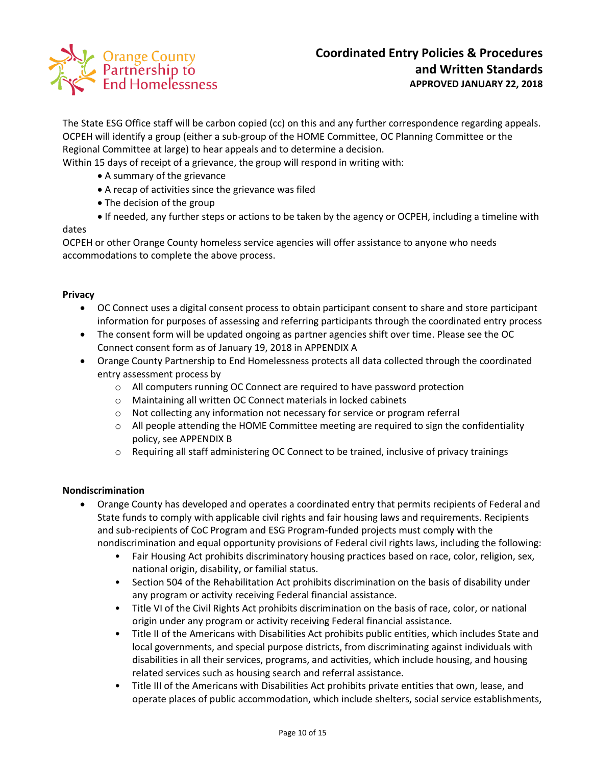

The State ESG Office staff will be carbon copied (cc) on this and any further correspondence regarding appeals. OCPEH will identify a group (either a sub-group of the HOME Committee, OC Planning Committee or the Regional Committee at large) to hear appeals and to determine a decision.

Within 15 days of receipt of a grievance, the group will respond in writing with:

- A summary of the grievance
- A recap of activities since the grievance was filed
- The decision of the group
- If needed, any further steps or actions to be taken by the agency or OCPEH, including a timeline with

## dates

OCPEH or other Orange County homeless service agencies will offer assistance to anyone who needs accommodations to complete the above process.

## **Privacy**

- OC Connect uses a digital consent process to obtain participant consent to share and store participant information for purposes of assessing and referring participants through the coordinated entry process
- The consent form will be updated ongoing as partner agencies shift over time. Please see the OC Connect consent form as of January 19, 2018 in APPENDIX A
- Orange County Partnership to End Homelessness protects all data collected through the coordinated entry assessment process by
	- o All computers running OC Connect are required to have password protection
	- o Maintaining all written OC Connect materials in locked cabinets
	- o Not collecting any information not necessary for service or program referral
	- $\circ$  All people attending the HOME Committee meeting are required to sign the confidentiality policy, see APPENDIX B
	- $\circ$  Requiring all staff administering OC Connect to be trained, inclusive of privacy trainings

## **Nondiscrimination**

- Orange County has developed and operates a coordinated entry that permits recipients of Federal and State funds to comply with applicable civil rights and fair housing laws and requirements. Recipients and sub-recipients of CoC Program and ESG Program-funded projects must comply with the nondiscrimination and equal opportunity provisions of Federal civil rights laws, including the following:
	- Fair Housing Act prohibits discriminatory housing practices based on race, color, religion, sex, national origin, disability, or familial status.
	- Section 504 of the Rehabilitation Act prohibits discrimination on the basis of disability under any program or activity receiving Federal financial assistance.
	- Title VI of the Civil Rights Act prohibits discrimination on the basis of race, color, or national origin under any program or activity receiving Federal financial assistance.
	- Title II of the Americans with Disabilities Act prohibits public entities, which includes State and local governments, and special purpose districts, from discriminating against individuals with disabilities in all their services, programs, and activities, which include housing, and housing related services such as housing search and referral assistance.
	- Title III of the Americans with Disabilities Act prohibits private entities that own, lease, and operate places of public accommodation, which include shelters, social service establishments,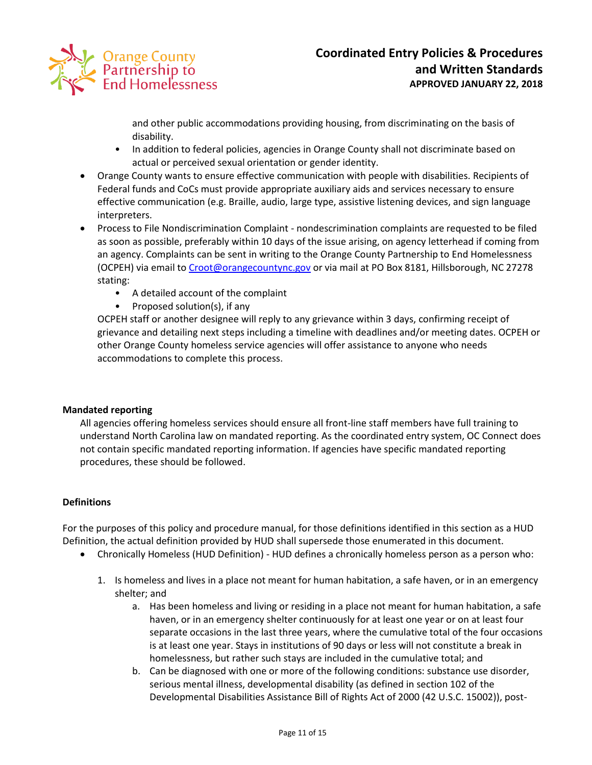

and other public accommodations providing housing, from discriminating on the basis of disability.

- In addition to federal policies, agencies in Orange County shall not discriminate based on actual or perceived sexual orientation or gender identity.
- Orange County wants to ensure effective communication with people with disabilities. Recipients of Federal funds and CoCs must provide appropriate auxiliary aids and services necessary to ensure effective communication (e.g. Braille, audio, large type, assistive listening devices, and sign language interpreters.
- Process to File Nondiscrimination Complaint nondescrimination complaints are requested to be filed as soon as possible, preferably within 10 days of the issue arising, on agency letterhead if coming from an agency. Complaints can be sent in writing to the Orange County Partnership to End Homelessness (OCPEH) via email to [Croot@orangecountync.gov](mailto:Croot@orangecountync.gov) or via mail at PO Box 8181, Hillsborough, NC 27278 stating:
	- A detailed account of the complaint
	- Proposed solution(s), if any

OCPEH staff or another designee will reply to any grievance within 3 days, confirming receipt of grievance and detailing next steps including a timeline with deadlines and/or meeting dates. OCPEH or other Orange County homeless service agencies will offer assistance to anyone who needs accommodations to complete this process.

## **Mandated reporting**

All agencies offering homeless services should ensure all front-line staff members have full training to understand North Carolina law on mandated reporting. As the coordinated entry system, OC Connect does not contain specific mandated reporting information. If agencies have specific mandated reporting procedures, these should be followed.

## **Definitions**

For the purposes of this policy and procedure manual, for those definitions identified in this section as a HUD Definition, the actual definition provided by HUD shall supersede those enumerated in this document.

- Chronically Homeless (HUD Definition) HUD defines a chronically homeless person as a person who:
	- 1. Is homeless and lives in a place not meant for human habitation, a safe haven, or in an emergency shelter; and
		- a. Has been homeless and living or residing in a place not meant for human habitation, a safe haven, or in an emergency shelter continuously for at least one year or on at least four separate occasions in the last three years, where the cumulative total of the four occasions is at least one year. Stays in institutions of 90 days or less will not constitute a break in homelessness, but rather such stays are included in the cumulative total; and
		- b. Can be diagnosed with one or more of the following conditions: substance use disorder, serious mental illness, developmental disability (as defined in section 102 of the Developmental Disabilities Assistance Bill of Rights Act of 2000 (42 U.S.C. 15002)), post-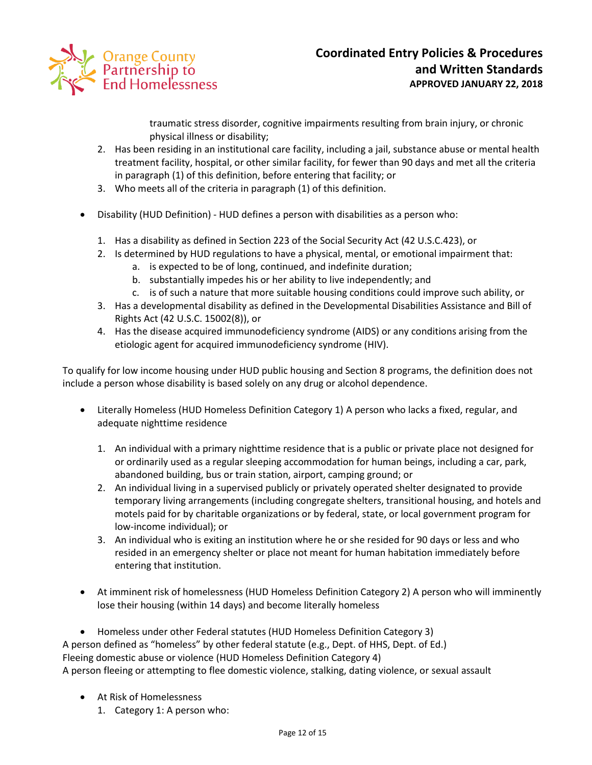

traumatic stress disorder, cognitive impairments resulting from brain injury, or chronic physical illness or disability;

- 2. Has been residing in an institutional care facility, including a jail, substance abuse or mental health treatment facility, hospital, or other similar facility, for fewer than 90 days and met all the criteria in paragraph (1) of this definition, before entering that facility; or
- 3. Who meets all of the criteria in paragraph (1) of this definition.
- Disability (HUD Definition) HUD defines a person with disabilities as a person who:
	- 1. Has a disability as defined in Section 223 of the Social Security Act (42 U.S.C.423), or
	- 2. Is determined by HUD regulations to have a physical, mental, or emotional impairment that:
		- a. is expected to be of long, continued, and indefinite duration;
		- b. substantially impedes his or her ability to live independently; and
		- c. is of such a nature that more suitable housing conditions could improve such ability, or
	- 3. Has a developmental disability as defined in the Developmental Disabilities Assistance and Bill of Rights Act (42 U.S.C. 15002(8)), or
	- 4. Has the disease acquired immunodeficiency syndrome (AIDS) or any conditions arising from the etiologic agent for acquired immunodeficiency syndrome (HIV).

To qualify for low income housing under HUD public housing and Section 8 programs, the definition does not include a person whose disability is based solely on any drug or alcohol dependence.

- Literally Homeless (HUD Homeless Definition Category 1) A person who lacks a fixed, regular, and adequate nighttime residence
	- 1. An individual with a primary nighttime residence that is a public or private place not designed for or ordinarily used as a regular sleeping accommodation for human beings, including a car, park, abandoned building, bus or train station, airport, camping ground; or
	- 2. An individual living in a supervised publicly or privately operated shelter designated to provide temporary living arrangements (including congregate shelters, transitional housing, and hotels and motels paid for by charitable organizations or by federal, state, or local government program for low-income individual); or
	- 3. An individual who is exiting an institution where he or she resided for 90 days or less and who resided in an emergency shelter or place not meant for human habitation immediately before entering that institution.
- At imminent risk of homelessness (HUD Homeless Definition Category 2) A person who will imminently lose their housing (within 14 days) and become literally homeless
- Homeless under other Federal statutes (HUD Homeless Definition Category 3)

A person defined as "homeless" by other federal statute (e.g., Dept. of HHS, Dept. of Ed.)

Fleeing domestic abuse or violence (HUD Homeless Definition Category 4)

A person fleeing or attempting to flee domestic violence, stalking, dating violence, or sexual assault

- At Risk of Homelessness
	- 1. Category 1: A person who: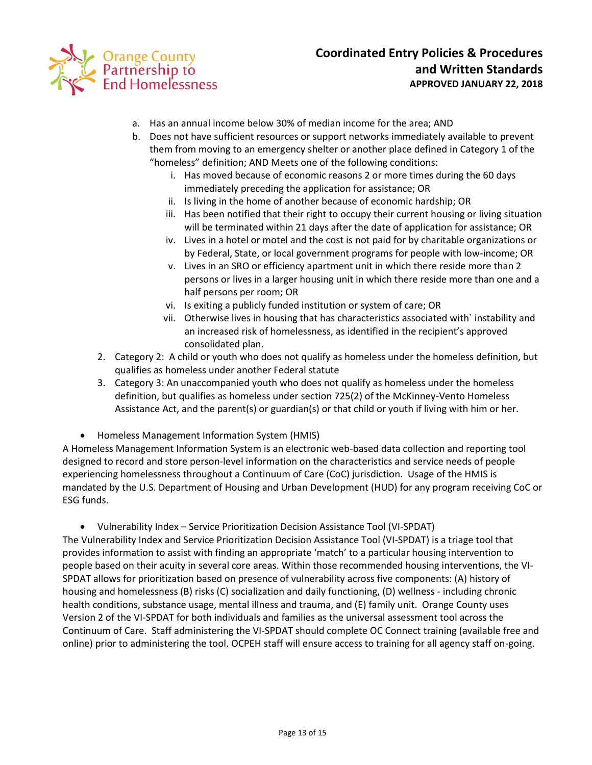

- a. Has an annual income below 30% of median income for the area; AND
- b. Does not have sufficient resources or support networks immediately available to prevent them from moving to an emergency shelter or another place defined in Category 1 of the "homeless" definition; AND Meets one of the following conditions:
	- i. Has moved because of economic reasons 2 or more times during the 60 days immediately preceding the application for assistance; OR
	- ii. Is living in the home of another because of economic hardship; OR
	- iii. Has been notified that their right to occupy their current housing or living situation will be terminated within 21 days after the date of application for assistance; OR
	- iv. Lives in a hotel or motel and the cost is not paid for by charitable organizations or by Federal, State, or local government programs for people with low-income; OR
	- v. Lives in an SRO or efficiency apartment unit in which there reside more than 2 persons or lives in a larger housing unit in which there reside more than one and a half persons per room; OR
	- vi. Is exiting a publicly funded institution or system of care; OR
	- vii. Otherwise lives in housing that has characteristics associated with` instability and an increased risk of homelessness, as identified in the recipient's approved consolidated plan.
- 2. Category 2: A child or youth who does not qualify as homeless under the homeless definition, but qualifies as homeless under another Federal statute
- 3. Category 3: An unaccompanied youth who does not qualify as homeless under the homeless definition, but qualifies as homeless under section 725(2) of the McKinney-Vento Homeless Assistance Act, and the parent(s) or guardian(s) or that child or youth if living with him or her.
- Homeless Management Information System (HMIS)

A Homeless Management Information System is an electronic web-based data collection and reporting tool designed to record and store person-level information on the characteristics and service needs of people experiencing homelessness throughout a Continuum of Care (CoC) jurisdiction. Usage of the HMIS is mandated by the U.S. Department of Housing and Urban Development (HUD) for any program receiving CoC or ESG funds.

Vulnerability Index – Service Prioritization Decision Assistance Tool (VI-SPDAT)

The Vulnerability Index and Service Prioritization Decision Assistance Tool (VI-SPDAT) is a triage tool that provides information to assist with finding an appropriate 'match' to a particular housing intervention to people based on their acuity in several core areas. Within those recommended housing interventions, the VI-SPDAT allows for prioritization based on presence of vulnerability across five components: (A) history of housing and homelessness (B) risks (C) socialization and daily functioning, (D) wellness - including chronic health conditions, substance usage, mental illness and trauma, and (E) family unit. Orange County uses Version 2 of the VI-SPDAT for both individuals and families as the universal assessment tool across the Continuum of Care. Staff administering the VI-SPDAT should complete OC Connect training (available free and online) prior to administering the tool. OCPEH staff will ensure access to training for all agency staff on-going.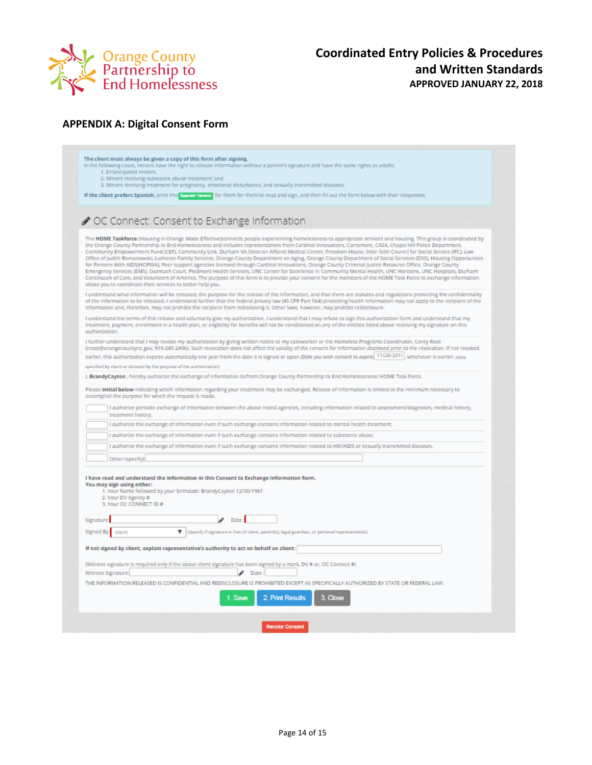

# **APPENDIX A: Digital Consent Form**

| The client must always be given a copy of this form after signing.<br>1. Emancipated minors; | In the following cases, minors have the right to release information without a parent's signature and have the same rights as adults:                                                                                                                                                                                                                                                                                                                                                                                                                                                                                                                                                                                                                                                                                                                                                                                                                                                                                                                                                                                                                                 |
|----------------------------------------------------------------------------------------------|-----------------------------------------------------------------------------------------------------------------------------------------------------------------------------------------------------------------------------------------------------------------------------------------------------------------------------------------------------------------------------------------------------------------------------------------------------------------------------------------------------------------------------------------------------------------------------------------------------------------------------------------------------------------------------------------------------------------------------------------------------------------------------------------------------------------------------------------------------------------------------------------------------------------------------------------------------------------------------------------------------------------------------------------------------------------------------------------------------------------------------------------------------------------------|
| 2. Minors receiving substance abuse treatment; and                                           | 3. Minors receiving treatment for pregnancy, emotional disturbance, and sexually transmitted diseases.                                                                                                                                                                                                                                                                                                                                                                                                                                                                                                                                                                                                                                                                                                                                                                                                                                                                                                                                                                                                                                                                |
|                                                                                              | If the client prefers Spanish, print this Spania Worker for them for them to read and sign, and then fill out the form below with their responses.                                                                                                                                                                                                                                                                                                                                                                                                                                                                                                                                                                                                                                                                                                                                                                                                                                                                                                                                                                                                                    |
|                                                                                              | ◆ OC Connect: Consent to Exchange Information                                                                                                                                                                                                                                                                                                                                                                                                                                                                                                                                                                                                                                                                                                                                                                                                                                                                                                                                                                                                                                                                                                                         |
| about you to coordinate their services to better help you.                                   | The HOME Taskforce (Housing in Orange Made Effective)connects people experiencing homelessness to appropriate services and housing. This group is coordinated by<br>the Orange County Partnership to End Homelessness and includes representatives from Cardinal Innovations, Carramore, CASA, Chapel Hill Police Department,<br>Community Empowerment Fund (CEF), Community Link, Durham VA (Veteran Affairs) Medical Center, Freedom House, Inter-faith Council for Social Service (IFC), Law<br>Office of Judith Romanowski, Lutheran Family Services, Orange County Department on Aging, Orange County Department of Social Services (DSS), Housing Opportunties<br>for Persons With AIDS(HOPWA), Peer support agencies licensed through Cardinal Innovations, Orange County Criminal Justice Resource Office, Orange County<br>Emergency Services (EMS), Outreach Court, Piedmont Health Services, UNC Center for Excellence in Community Mental Health, UNC Horizons, UNC Hospitals, Durham<br>Continuum of Care, and Volunteers of America. The purpose of this form is to provide your consent for the members of the HOME Task Force to exchange information |
|                                                                                              | I understand what information will be released, the purpose for the release of the information, and that there are statutes and regulations protecting the confidentiality<br>of the information to be released. I understand further that the federal privacy law (45 CFR Part 164) protecting health information may not apply to the recipient of the<br>information and, therefore, may not prohibit the recipient from redisclosing it. Other laws, however, may prohibit redisclosure.                                                                                                                                                                                                                                                                                                                                                                                                                                                                                                                                                                                                                                                                          |
| authorization.                                                                               | I understand the terms of this release and voluntarily give my authorization. I understand that I may refuse to sign this authorization form and understand that my<br>treatment, payment, enrollment in a health plan, or eligibility for benefits will not be conditioned on any of the entities listed above receiving my signature on this                                                                                                                                                                                                                                                                                                                                                                                                                                                                                                                                                                                                                                                                                                                                                                                                                        |
|                                                                                              | I further understand that I may revoke my authorization by giving written notice to my caseworker or the Homeless Programs Coordinator, Corey Root<br>(croot@orangecountync.gov, 919-245-2496). Such revocation does not affect the validity of the consent for information disclosed prior to the revocation. If not revoked<br>earlier, this authorization expires automatically one year from the date it is signed or upon (Date you wish consent to expire) 11/28/2011], whichever is earlier. (date                                                                                                                                                                                                                                                                                                                                                                                                                                                                                                                                                                                                                                                             |
| specified by client or dictated by the purpose of the authorization).                        |                                                                                                                                                                                                                                                                                                                                                                                                                                                                                                                                                                                                                                                                                                                                                                                                                                                                                                                                                                                                                                                                                                                                                                       |
|                                                                                              | I, BrandyCayton, hereby authorize the exchange of information to/from Orange County Partnership to End Homelessness/ HOME Task Force.                                                                                                                                                                                                                                                                                                                                                                                                                                                                                                                                                                                                                                                                                                                                                                                                                                                                                                                                                                                                                                 |
| accomplish the purpose for which the request is made.                                        | Please initial below indicating which information regarding your treatment may be exchanged. Release of information is limited to the minimum necessary to<br>I authorize periodic exchange of information between the above noted agencies, including information related to assessment/diagnoses, medical history,                                                                                                                                                                                                                                                                                                                                                                                                                                                                                                                                                                                                                                                                                                                                                                                                                                                  |
| treatment history.                                                                           |                                                                                                                                                                                                                                                                                                                                                                                                                                                                                                                                                                                                                                                                                                                                                                                                                                                                                                                                                                                                                                                                                                                                                                       |
|                                                                                              | I authorize the exchange of information even if such exchange contains information related to mental health treatment.                                                                                                                                                                                                                                                                                                                                                                                                                                                                                                                                                                                                                                                                                                                                                                                                                                                                                                                                                                                                                                                |
|                                                                                              | I authorize the exchange of information even if such exchange contains information related to substance abuse.                                                                                                                                                                                                                                                                                                                                                                                                                                                                                                                                                                                                                                                                                                                                                                                                                                                                                                                                                                                                                                                        |
|                                                                                              | I authorize the exchange of information even if such exchange contains information related to HIV/AIDS or sexually transmitted diseases.                                                                                                                                                                                                                                                                                                                                                                                                                                                                                                                                                                                                                                                                                                                                                                                                                                                                                                                                                                                                                              |
| Other (specify):                                                                             |                                                                                                                                                                                                                                                                                                                                                                                                                                                                                                                                                                                                                                                                                                                                                                                                                                                                                                                                                                                                                                                                                                                                                                       |
| You may sign using either:<br>2. Your DV Agency #<br>3. Your OC CONNECT ID #                 | I have read and understand the information in this Consent to Exchange Information form.<br>1. Your Name followed by your birthdate: BrandyCayton 12/30/1981                                                                                                                                                                                                                                                                                                                                                                                                                                                                                                                                                                                                                                                                                                                                                                                                                                                                                                                                                                                                          |
| Signature:                                                                                   | $\blacktriangleright$ Date:                                                                                                                                                                                                                                                                                                                                                                                                                                                                                                                                                                                                                                                                                                                                                                                                                                                                                                                                                                                                                                                                                                                                           |
| Signed By:<br>client                                                                         | ▼<br>(Specify if signature is that of client, parent(s), legal guardian, or personal representative)                                                                                                                                                                                                                                                                                                                                                                                                                                                                                                                                                                                                                                                                                                                                                                                                                                                                                                                                                                                                                                                                  |
|                                                                                              | If not signed by client, explain representative's authority to act on behalf on client:                                                                                                                                                                                                                                                                                                                                                                                                                                                                                                                                                                                                                                                                                                                                                                                                                                                                                                                                                                                                                                                                               |
| Witness Signature:                                                                           | (Witness signature is required only if the above client signature has been signed by a mark, DV # or, OC Connect #)<br>Date                                                                                                                                                                                                                                                                                                                                                                                                                                                                                                                                                                                                                                                                                                                                                                                                                                                                                                                                                                                                                                           |
|                                                                                              | THE INFORMATION RELEASED IS CONFIDENTIAL AND REDISCLOSURE IS PROHIBITED EXCEPT AS SPECIFICALLY AUTHORIZED BY STATE OR FEDERAL LAW.                                                                                                                                                                                                                                                                                                                                                                                                                                                                                                                                                                                                                                                                                                                                                                                                                                                                                                                                                                                                                                    |
|                                                                                              | 1. Save<br>2. Print Results<br>3. Close                                                                                                                                                                                                                                                                                                                                                                                                                                                                                                                                                                                                                                                                                                                                                                                                                                                                                                                                                                                                                                                                                                                               |
|                                                                                              | <b>Revoke Consent</b>                                                                                                                                                                                                                                                                                                                                                                                                                                                                                                                                                                                                                                                                                                                                                                                                                                                                                                                                                                                                                                                                                                                                                 |
|                                                                                              |                                                                                                                                                                                                                                                                                                                                                                                                                                                                                                                                                                                                                                                                                                                                                                                                                                                                                                                                                                                                                                                                                                                                                                       |